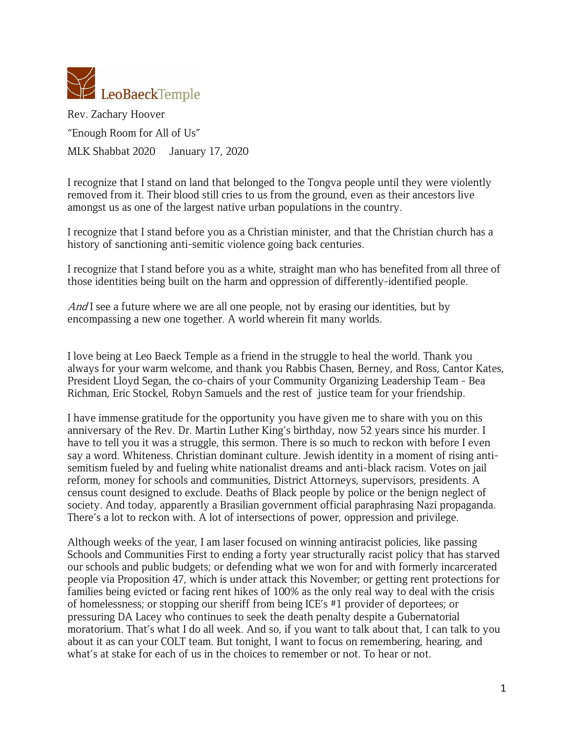

Rev. Zachary Hoover "Enough Room for All of Us" MLK Shabbat 2020 January 17, 2020

I recognize that I stand on land that belonged to the Tongva people until they were violently removed from it. Their blood still cries to us from the ground, even as their ancestors live amongst us as one of the largest native urban populations in the country.

I recognize that I stand before you as a Christian minister, and that the Christian church has a history of sanctioning anti-semitic violence going back centuries.

I recognize that I stand before you as a white, straight man who has benefited from all three of those identities being built on the harm and oppression of differently-identified people.

And I see a future where we are all one people, not by erasing our identities, but by encompassing a new one together. A world wherein fit many worlds.

I love being at Leo Baeck Temple as a friend in the struggle to heal the world. Thank you always for your warm welcome, and thank you Rabbis Chasen, Berney, and Ross, Cantor Kates, President Lloyd Segan, the co-chairs of your Community Organizing Leadership Team - Bea Richman, Eric Stockel, Robyn Samuels and the rest of justice team for your friendship.

I have immense gratitude for the opportunity you have given me to share with you on this anniversary of the Rev. Dr. Martin Luther King's birthday, now 52 years since his murder. I have to tell you it was a struggle, this sermon. There is so much to reckon with before I even say a word. Whiteness. Christian dominant culture. Jewish identity in a moment of rising antisemitism fueled by and fueling white nationalist dreams and anti-black racism. Votes on jail reform, money for schools and communities, District Attorneys, supervisors, presidents. A census count designed to exclude. Deaths of Black people by police or the benign neglect of society. And today, apparently a Brasilian government official paraphrasing Nazi propaganda. There's a lot to reckon with. A lot of intersections of power, oppression and privilege.

Although weeks of the year, I am laser focused on winning antiracist policies, like passing Schools and Communities First to ending a forty year structurally racist policy that has starved our schools and public budgets; or defending what we won for and with formerly incarcerated people via Proposition 47, which is under attack this November; or getting rent protections for families being evicted or facing rent hikes of 100% as the only real way to deal with the crisis of homelessness; or stopping our sheriff from being ICE's #1 provider of deportees; or pressuring DA Lacey who continues to seek the death penalty despite a Gubernatorial moratorium. That's what I do all week. And so, if you want to talk about that, I can talk to you about it as can your COLT team. But tonight, I want to focus on remembering, hearing, and what's at stake for each of us in the choices to remember or not. To hear or not.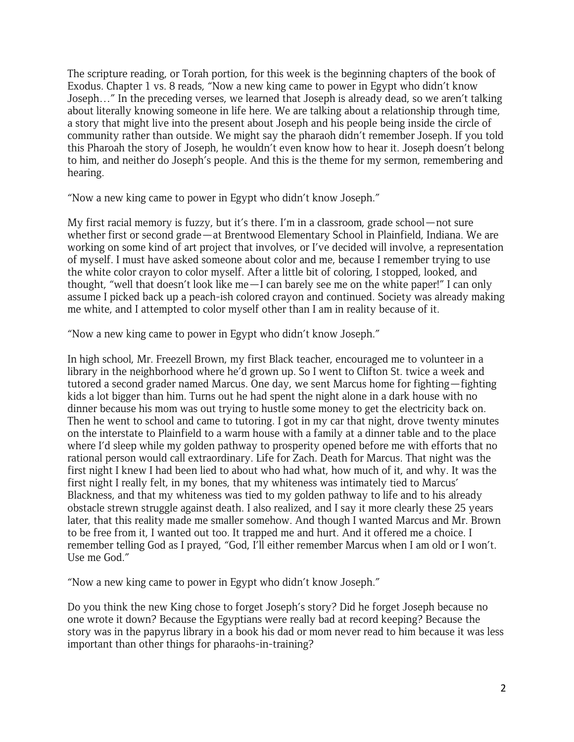The scripture reading, or Torah portion, for this week is the beginning chapters of the book of Exodus. Chapter 1 vs. 8 reads, "Now a new king came to power in Egypt who didn't know Joseph…" In the preceding verses, we learned that Joseph is already dead, so we aren't talking about literally knowing someone in life here. We are talking about a relationship through time, a story that might live into the present about Joseph and his people being inside the circle of community rather than outside. We might say the pharaoh didn't remember Joseph. If you told this Pharoah the story of Joseph, he wouldn't even know how to hear it. Joseph doesn't belong to him, and neither do Joseph's people. And this is the theme for my sermon, remembering and hearing.

"Now a new king came to power in Egypt who didn't know Joseph."

My first racial memory is fuzzy, but it's there. I'm in a classroom, grade school—not sure whether first or second grade—at Brentwood Elementary School in Plainfield, Indiana. We are working on some kind of art project that involves, or I've decided will involve, a representation of myself. I must have asked someone about color and me, because I remember trying to use the white color crayon to color myself. After a little bit of coloring, I stopped, looked, and thought, "well that doesn't look like me—I can barely see me on the white paper!" I can only assume I picked back up a peach-ish colored crayon and continued. Society was already making me white, and I attempted to color myself other than I am in reality because of it.

"Now a new king came to power in Egypt who didn't know Joseph."

In high school, Mr. Freezell Brown, my first Black teacher, encouraged me to volunteer in a library in the neighborhood where he'd grown up. So I went to Clifton St. twice a week and tutored a second grader named Marcus. One day, we sent Marcus home for fighting—fighting kids a lot bigger than him. Turns out he had spent the night alone in a dark house with no dinner because his mom was out trying to hustle some money to get the electricity back on. Then he went to school and came to tutoring. I got in my car that night, drove twenty minutes on the interstate to Plainfield to a warm house with a family at a dinner table and to the place where I'd sleep while my golden pathway to prosperity opened before me with efforts that no rational person would call extraordinary. Life for Zach. Death for Marcus. That night was the first night I knew I had been lied to about who had what, how much of it, and why. It was the first night I really felt, in my bones, that my whiteness was intimately tied to Marcus' Blackness, and that my whiteness was tied to my golden pathway to life and to his already obstacle strewn struggle against death. I also realized, and I say it more clearly these 25 years later, that this reality made me smaller somehow. And though I wanted Marcus and Mr. Brown to be free from it, I wanted out too. It trapped me and hurt. And it offered me a choice. I remember telling God as I prayed, "God, I'll either remember Marcus when I am old or I won't. Use me God."

"Now a new king came to power in Egypt who didn't know Joseph."

Do you think the new King chose to forget Joseph's story? Did he forget Joseph because no one wrote it down? Because the Egyptians were really bad at record keeping? Because the story was in the papyrus library in a book his dad or mom never read to him because it was less important than other things for pharaohs-in-training?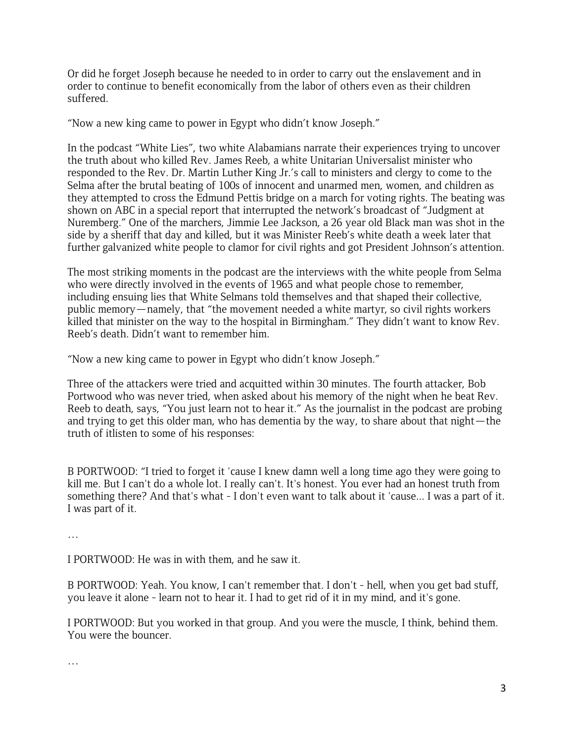Or did he forget Joseph because he needed to in order to carry out the enslavement and in order to continue to benefit economically from the labor of others even as their children suffered.

"Now a new king came to power in Egypt who didn't know Joseph."

In the podcast "White Lies", two white Alabamians narrate their experiences trying to uncover the truth about who killed Rev. James Reeb, a white Unitarian Universalist minister who responded to the Rev. Dr. Martin Luther King Jr.'s call to ministers and clergy to come to the Selma after the brutal beating of 100s of innocent and unarmed men, women, and children as they attempted to cross the Edmund Pettis bridge on a march for voting rights. The beating was shown on ABC in a special report that interrupted the network's broadcast of "Judgment at Nuremberg." One of the marchers, Jimmie Lee Jackson, a 26 year old Black man was shot in the side by a sheriff that day and killed, but it was Minister Reeb's white death a week later that further galvanized white people to clamor for civil rights and got President Johnson's attention.

The most striking moments in the podcast are the interviews with the white people from Selma who were directly involved in the events of 1965 and what people chose to remember, including ensuing lies that White Selmans told themselves and that shaped their collective, public memory—namely, that "the movement needed a white martyr, so civil rights workers killed that minister on the way to the hospital in Birmingham." They didn't want to know Rev. Reeb's death. Didn't want to remember him.

"Now a new king came to power in Egypt who didn't know Joseph."

Three of the attackers were tried and acquitted within 30 minutes. The fourth attacker, Bob Portwood who was never tried, when asked about his memory of the night when he beat Rev. Reeb to death, says, "You just learn not to hear it." As the journalist in the podcast are probing and trying to get this older man, who has dementia by the way, to share about that night—the truth of itlisten to some of his responses:

B PORTWOOD: "I tried to forget it 'cause I knew damn well a long time ago they were going to kill me. But I can't do a whole lot. I really can't. It's honest. You ever had an honest truth from something there? And that's what - I don't even want to talk about it 'cause... I was a part of it. I was part of it.

…

I PORTWOOD: He was in with them, and he saw it.

B PORTWOOD: Yeah. You know, I can't remember that. I don't - hell, when you get bad stuff, you leave it alone - learn not to hear it. I had to get rid of it in my mind, and it's gone.

I PORTWOOD: But you worked in that group. And you were the muscle, I think, behind them. You were the bouncer.

…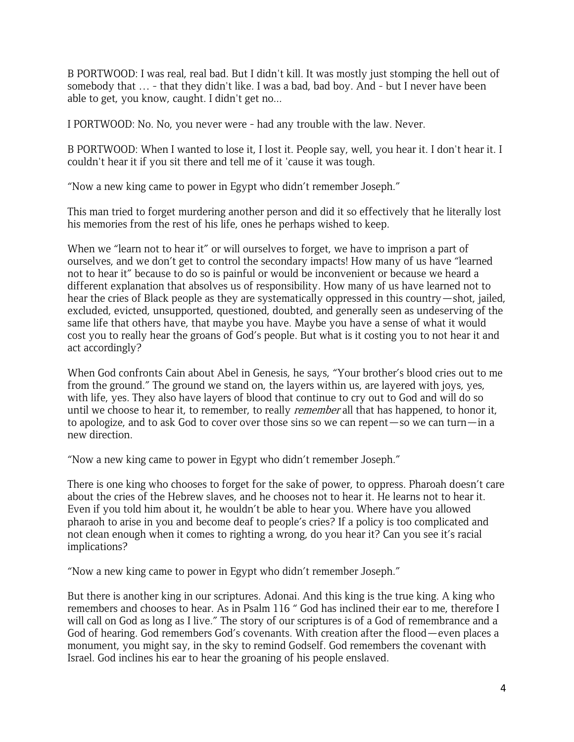B PORTWOOD: I was real, real bad. But I didn't kill. It was mostly just stomping the hell out of somebody that … - that they didn't like. I was a bad, bad boy. And - but I never have been able to get, you know, caught. I didn't get no...

I PORTWOOD: No. No, you never were - had any trouble with the law. Never.

B PORTWOOD: When I wanted to lose it, I lost it. People say, well, you hear it. I don't hear it. I couldn't hear it if you sit there and tell me of it 'cause it was tough.

"Now a new king came to power in Egypt who didn't remember Joseph."

This man tried to forget murdering another person and did it so effectively that he literally lost his memories from the rest of his life, ones he perhaps wished to keep.

When we "learn not to hear it" or will ourselves to forget, we have to imprison a part of ourselves, and we don't get to control the secondary impacts! How many of us have "learned not to hear it" because to do so is painful or would be inconvenient or because we heard a different explanation that absolves us of responsibility. How many of us have learned not to hear the cries of Black people as they are systematically oppressed in this country—shot, jailed, excluded, evicted, unsupported, questioned, doubted, and generally seen as undeserving of the same life that others have, that maybe you have. Maybe you have a sense of what it would cost you to really hear the groans of God's people. But what is it costing you to not hear it and act accordingly?

When God confronts Cain about Abel in Genesis, he says, "Your brother's blood cries out to me from the ground." The ground we stand on, the layers within us, are layered with joys, yes, with life, yes. They also have layers of blood that continue to cry out to God and will do so until we choose to hear it, to remember, to really *remember* all that has happened, to honor it, to apologize, and to ask God to cover over those sins so we can repent—so we can turn—in a new direction.

"Now a new king came to power in Egypt who didn't remember Joseph."

There is one king who chooses to forget for the sake of power, to oppress. Pharoah doesn't care about the cries of the Hebrew slaves, and he chooses not to hear it. He learns not to hear it. Even if you told him about it, he wouldn't be able to hear you. Where have you allowed pharaoh to arise in you and become deaf to people's cries? If a policy is too complicated and not clean enough when it comes to righting a wrong, do you hear it? Can you see it's racial implications?

"Now a new king came to power in Egypt who didn't remember Joseph."

But there is another king in our scriptures. Adonai. And this king is the true king. A king who remembers and chooses to hear. As in Psalm 116 " God has inclined their ear to me, therefore I will call on God as long as I live." The story of our scriptures is of a God of remembrance and a God of hearing. God remembers God's covenants. With creation after the flood—even places a monument, you might say, in the sky to remind Godself. God remembers the covenant with Israel. God inclines his ear to hear the groaning of his people enslaved.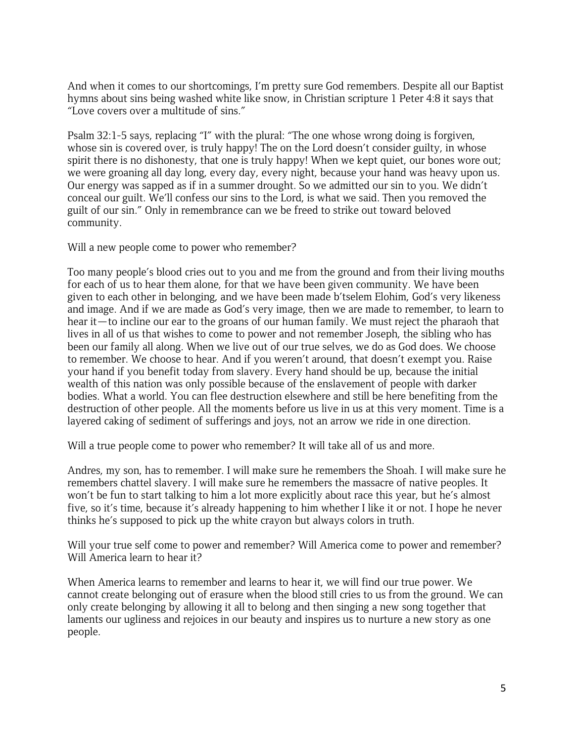And when it comes to our shortcomings, I'm pretty sure God remembers. Despite all our Baptist hymns about sins being washed white like snow, in Christian scripture 1 Peter 4:8 it says that "Love covers over a multitude of sins."

Psalm 32:1-5 says, replacing "I" with the plural: "The one whose wrong doing is forgiven, whose sin is covered over, is truly happy! The on the Lord doesn't consider guilty, in whose spirit there is no dishonesty, that one is truly happy! When we kept quiet, our bones wore out; we were groaning all day long, every day, every night, because your hand was heavy upon us. Our energy was sapped as if in a summer drought. So we admitted our sin to you. We didn't conceal our guilt. We'll confess our sins to the Lord, is what we said. Then you removed the guilt of our sin." Only in remembrance can we be freed to strike out toward beloved community.

Will a new people come to power who remember?

Too many people's blood cries out to you and me from the ground and from their living mouths for each of us to hear them alone, for that we have been given community. We have been given to each other in belonging, and we have been made b'tselem Elohim, God's very likeness and image. And if we are made as God's very image, then we are made to remember, to learn to hear it—to incline our ear to the groans of our human family. We must reject the pharaoh that lives in all of us that wishes to come to power and not remember Joseph, the sibling who has been our family all along. When we live out of our true selves, we do as God does. We choose to remember. We choose to hear. And if you weren't around, that doesn't exempt you. Raise your hand if you benefit today from slavery. Every hand should be up, because the initial wealth of this nation was only possible because of the enslavement of people with darker bodies. What a world. You can flee destruction elsewhere and still be here benefiting from the destruction of other people. All the moments before us live in us at this very moment. Time is a layered caking of sediment of sufferings and joys, not an arrow we ride in one direction.

Will a true people come to power who remember? It will take all of us and more.

Andres, my son, has to remember. I will make sure he remembers the Shoah. I will make sure he remembers chattel slavery. I will make sure he remembers the massacre of native peoples. It won't be fun to start talking to him a lot more explicitly about race this year, but he's almost five, so it's time, because it's already happening to him whether I like it or not. I hope he never thinks he's supposed to pick up the white crayon but always colors in truth.

Will your true self come to power and remember? Will America come to power and remember? Will America learn to hear it?

When America learns to remember and learns to hear it, we will find our true power. We cannot create belonging out of erasure when the blood still cries to us from the ground. We can only create belonging by allowing it all to belong and then singing a new song together that laments our ugliness and rejoices in our beauty and inspires us to nurture a new story as one people.